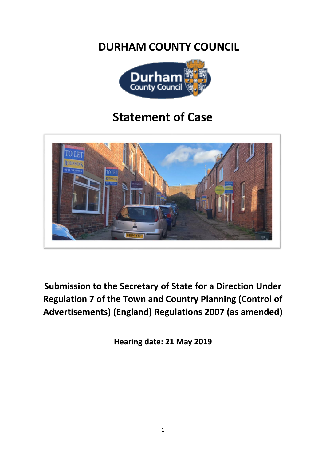**DURHAM COUNTY COUNCIL**



# **Statement of Case**



**Submission to the Secretary of State for a Direction Under Regulation 7 of the Town and Country Planning (Control of Advertisements) (England) Regulations 2007 (as amended)**

**Hearing date: 21 May 2019**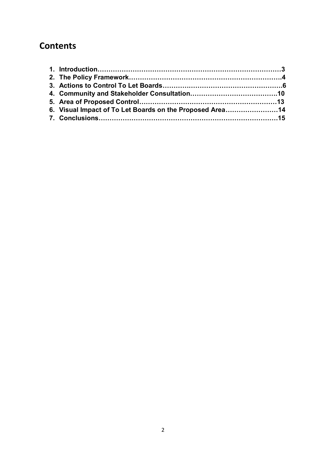# **Contents**

| 6. Visual Impact of To Let Boards on the Proposed Area14 |
|----------------------------------------------------------|
|                                                          |
|                                                          |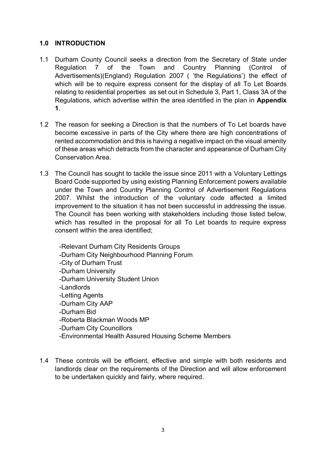# <span id="page-2-0"></span>**1.0 INTRODUCTION**

- 1.1 Durham County Council seeks a direction from the Secretary of State under Regulation 7 of the Town and Country Planning (Control of Advertisements)(England) Regulation 2007 ( 'the Regulations') the effect of which will be to require express consent for the display of all To Let Boards relating to residential properties as set out in Schedule 3, Part 1, Class 3A of the Regulations, which advertise within the area identified in the plan in **Appendix 1**.
- 1.2 The reason for seeking a Direction is that the numbers of To Let boards have become excessive in parts of the City where there are high concentrations of rented accommodation and this is having a negative impact on the visual amenity of these areas which detracts from the character and appearance of Durham City Conservation Area.
- 1.3 The Council has sought to tackle the issue since 2011 with a Voluntary Lettings Board Code supported by using existing Planning Enforcement powers available under the Town and Country Planning Control of Advertisement Regulations 2007. Whilst the introduction of the voluntary code affected a limited improvement to the situation it has not been successful in addressing the issue. The Council has been working with stakeholders including those listed below, which has resulted in the proposal for all To Let boards to require express consent within the area identified;

-Relevant Durham City Residents Groups -Durham City Neighbourhood Planning Forum -City of Durham Trust -Durham University -Durham University Student Union -Landlords -Letting Agents -Durham City AAP -Durham Bid -Roberta Blackman Woods MP -Durham City Councillors

- -Environmental Health Assured Housing Scheme Members
- 1.4 These controls will be efficient, effective and simple with both residents and landlords clear on the requirements of the Direction and will allow enforcement to be undertaken quickly and fairly, where required.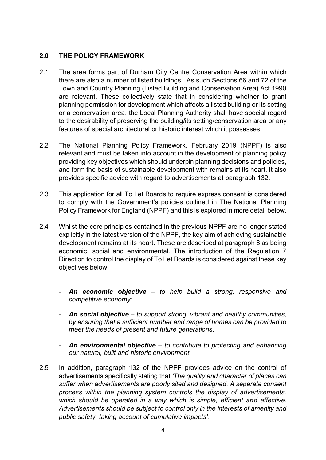### <span id="page-3-0"></span>**2.0 THE POLICY FRAMEWORK**

- 2.1 The area forms part of Durham City Centre Conservation Area within which there are also a number of listed buildings. As such Sections 66 and 72 of the Town and Country Planning (Listed Building and Conservation Area) Act 1990 are relevant. These collectively state that in considering whether to grant planning permission for development which affects a listed building or its setting or a conservation area, the Local Planning Authority shall have special regard to the desirability of preserving the building/its setting/conservation area or any features of special architectural or historic interest which it possesses.
- 2.2 The National Planning Policy Framework, February 2019 (NPPF) is also relevant and must be taken into account in the development of planning policy providing key objectives which should underpin planning decisions and policies, and form the basis of sustainable development with remains at its heart. It also provides specific advice with regard to advertisements at paragraph 132.
- 2.3 This application for all To Let Boards to require express consent is considered to comply with the Government's policies outlined in The National Planning Policy Framework for England (NPPF) and this is explored in more detail below.
- 2.4 Whilst the core principles contained in the previous NPPF are no longer stated explicitly in the latest version of the NPPF, the key aim of achieving sustainable development remains at its heart. These are described at paragraph 8 as being economic, social and environmental. The introduction of the Regulation 7 Direction to control the display of To Let Boards is considered against these key objectives below;
	- *An economic objective – to help build a strong, responsive and competitive economy:*
	- *An social objective – to support strong, vibrant and healthy communities, by ensuring that a sufficient number and range of homes can be provided to meet the needs of present and future generations.*
	- *An environmental objective – to contribute to protecting and enhancing our natural, built and historic environment.*
- 2.5 In addition, paragraph 132 of the NPPF provides advice on the control of advertisements specifically stating that *'The quality and character of places can suffer when advertisements are poorly sited and designed. A separate consent process within the planning system controls the display of advertisements, which should be operated in a way which is simple, efficient and effective. Advertisements should be subject to control only in the interests of amenity and public safety, taking account of cumulative impacts'*.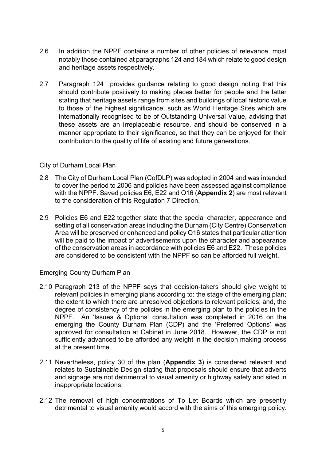- 2.6 In addition the NPPF contains a number of other policies of relevance, most notably those contained at paragraphs 124 and 184 which relate to good design and heritage assets respectively.
- 2.7 Paragraph 124 provides guidance relating to good design noting that this should contribute positively to making places better for people and the latter stating that heritage assets range from sites and buildings of local historic value to those of the highest significance, such as World Heritage Sites which are internationally recognised to be of Outstanding Universal Value, advising that these assets are an irreplaceable resource, and should be conserved in a manner appropriate to their significance, so that they can be enjoyed for their contribution to the quality of life of existing and future generations.

#### City of Durham Local Plan

- 2.8 The City of Durham Local Plan (CofDLP) was adopted in 2004 and was intended to cover the period to 2006 and policies have been assessed against compliance with the NPPF. Saved policies E6, E22 and Q16 (**Appendix 2**) are most relevant to the consideration of this Regulation 7 Direction.
- 2.9 Policies E6 and E22 together state that the special character, appearance and setting of all conservation areas including the Durham (City Centre) Conservation Area will be preserved or enhanced and policy Q16 states that particular attention will be paid to the impact of advertisements upon the character and appearance of the conservation areas in accordance with policies E6 and E22. These policies are considered to be consistent with the NPPF so can be afforded full weight.

### Emerging County Durham Plan

- 2.10 Paragraph 213 of the NPPF says that decision-takers should give weight to relevant policies in emerging plans according to: the stage of the emerging plan; the extent to which there are unresolved objections to relevant policies; and, the degree of consistency of the policies in the emerging plan to the policies in the NPPF. An 'Issues & Options' consultation was completed in 2016 on the emerging the County Durham Plan (CDP) and the 'Preferred Options' was approved for consultation at Cabinet in June 2018. However, the CDP is not sufficiently advanced to be afforded any weight in the decision making process at the present time.
- 2.11 Nevertheless, policy 30 of the plan (**Appendix 3**) is considered relevant and relates to Sustainable Design stating that proposals should ensure that adverts and signage are not detrimental to visual amenity or highway safety and sited in inappropriate locations.
- 2.12 The removal of high concentrations of To Let Boards which are presently detrimental to visual amenity would accord with the aims of this emerging policy.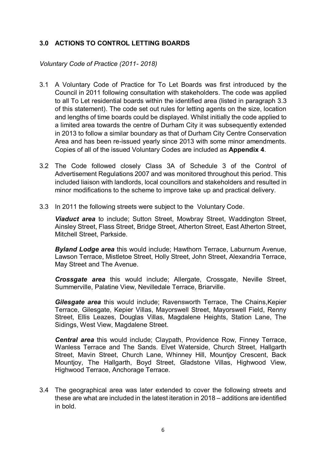# <span id="page-5-0"></span>**3.0 ACTIONS TO CONTROL LETTING BOARDS**

#### *Voluntary Code of Practice (2011- 2018)*

- 3.1 A Voluntary Code of Practice for To Let Boards was first introduced by the Council in 2011 following consultation with stakeholders. The code was applied to all To Let residential boards within the identified area (listed in paragraph 3.3 of this statement). The code set out rules for letting agents on the size, location and lengths of time boards could be displayed. Whilst initially the code applied to a limited area towards the centre of Durham City it was subsequently extended in 2013 to follow a similar boundary as that of Durham City Centre Conservation Area and has been re-issued yearly since 2013 with some minor amendments. Copies of all of the issued Voluntary Codes are included as **Appendix 4**.
- 3.2 The Code followed closely Class 3A of Schedule 3 of the Control of Advertisement Regulations 2007 and was monitored throughout this period. This included liaison with landlords, local councillors and stakeholders and resulted in minor modifications to the scheme to improve take up and practical delivery.
- 3.3 In 2011 the following streets were subject to the Voluntary Code.

*Viaduct area* to include; Sutton Street, Mowbray Street, Waddington Street, Ainsley Street, Flass Street, Bridge Street, Atherton Street, East Atherton Street, Mitchell Street, Parkside.

*Byland Lodge area* this would include; Hawthorn Terrace, Laburnum Avenue, Lawson Terrace, Mistletoe Street, Holly Street, John Street, Alexandria Terrace, May Street and The Avenue.

*Crossgate area* this would include; Allergate, Crossgate, Neville Street, Summerville, Palatine View, Nevilledale Terrace, Briarville.

*Gilesgate area* this would include; Ravensworth Terrace, The Chains,Kepier Terrace, Gilesgate, Kepier Villas, Mayorswell Street, Mayorswell Field, Renny Street, Ellis Leazes, Douglas Villas, Magdalene Heights, Station Lane, The Sidings, West View, Magdalene Street.

*Central area* this would include; Claypath, Providence Row, Finney Terrace, Wanless Terrace and The Sands. Elvet Waterside, Church Street, Hallgarth Street, Mavin Street, Church Lane, Whinney Hill, Mountjoy Crescent, Back Mountjoy, The Hallgarth, Boyd Street, Gladstone Villas, Highwood View, Highwood Terrace, Anchorage Terrace.

3.4 The geographical area was later extended to cover the following streets and these are what are included in the latest iteration in 2018 – additions are identified in bold.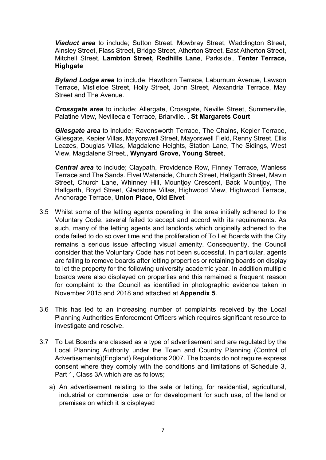*Viaduct area* to include; Sutton Street, Mowbray Street, Waddington Street, Ainsley Street, Flass Street, Bridge Street, Atherton Street, East Atherton Street, Mitchell Street, **Lambton Street, Redhills Lane**, Parkside., **Tenter Terrace, Highgate**

*Byland Lodge area* to include; Hawthorn Terrace, Laburnum Avenue, Lawson Terrace, Mistletoe Street, Holly Street, John Street, Alexandria Terrace, May Street and The Avenue.

*Crossgate area* to include; Allergate, Crossgate, Neville Street, Summerville, Palatine View, Nevilledale Terrace, Briarville. , **St Margarets Court**

*Gilesgate area* to include; Ravensworth Terrace, The Chains, Kepier Terrace, Gilesgate, Kepier Villas, Mayorswell Street, Mayorswell Field, Renny Street, Ellis Leazes, Douglas Villas, Magdalene Heights, Station Lane, The Sidings, West View, Magdalene Street., **Wynyard Grove, Young Street**,

*Central area* to include; Claypath, Providence Row, Finney Terrace, Wanless Terrace and The Sands. Elvet Waterside, Church Street, Hallgarth Street, Mavin Street, Church Lane, Whinney Hill, Mountjoy Crescent, Back Mountjoy, The Hallgarth, Boyd Street, Gladstone Villas, Highwood View, Highwood Terrace, Anchorage Terrace, **Union Place, Old Elvet**

- 3.5 Whilst some of the letting agents operating in the area initially adhered to the Voluntary Code, several failed to accept and accord with its requirements. As such, many of the letting agents and landlords which originally adhered to the code failed to do so over time and the proliferation of To Let Boards with the City remains a serious issue affecting visual amenity. Consequently, the Council consider that the Voluntary Code has not been successful. In particular, agents are failing to remove boards after letting properties or retaining boards on display to let the property for the following university academic year. In addition multiple boards were also displayed on properties and this remained a frequent reason for complaint to the Council as identified in photographic evidence taken in November 2015 and 2018 and attached at **Appendix 5**.
- 3.6 This has led to an increasing number of complaints received by the Local Planning Authorities Enforcement Officers which requires significant resource to investigate and resolve.
- 3.7 To Let Boards are classed as a type of advertisement and are regulated by the Local Planning Authority under the Town and Country Planning (Control of Advertisements)(England) Regulations 2007. The boards do not require express consent where they comply with the conditions and limitations of Schedule 3, Part 1, Class 3A which are as follows;
	- a) An advertisement relating to the sale or letting, for residential, agricultural, industrial or commercial use or for development for such use, of the land or premises on which it is displayed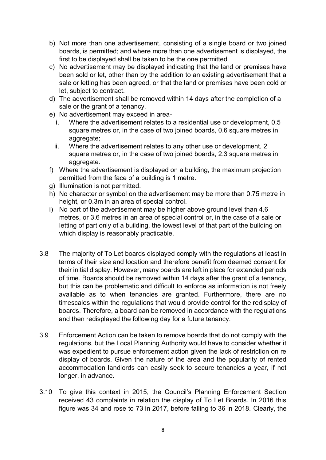- b) Not more than one advertisement, consisting of a single board or two joined boards, is permitted; and where more than one advertisement is displayed, the first to be displayed shall be taken to be the one permitted
- c) No advertisement may be displayed indicating that the land or premises have been sold or let, other than by the addition to an existing advertisement that a sale or letting has been agreed, or that the land or premises have been cold or let, subject to contract.
- d) The advertisement shall be removed within 14 days after the completion of a sale or the grant of a tenancy.
- e) No advertisement may exceed in area
	- i. Where the advertisement relates to a residential use or development, 0.5 square metres or, in the case of two joined boards, 0.6 square metres in aggregate;
	- ii. Where the advertisement relates to any other use or development, 2 square metres or, in the case of two joined boards, 2.3 square metres in aggregate.
- f) Where the advertisement is displayed on a building, the maximum projection permitted from the face of a building is 1 metre.
- g) Illumination is not permitted.
- h) No character or symbol on the advertisement may be more than 0.75 metre in height, or 0.3m in an area of special control.
- i) No part of the advertisement may be higher above ground level than 4.6 metres, or 3.6 metres in an area of special control or, in the case of a sale or letting of part only of a building, the lowest level of that part of the building on which display is reasonably practicable.
- 3.8 The majority of To Let boards displayed comply with the regulations at least in terms of their size and location and therefore benefit from deemed consent for their initial display. However, many boards are left in place for extended periods of time. Boards should be removed within 14 days after the grant of a tenancy, but this can be problematic and difficult to enforce as information is not freely available as to when tenancies are granted. Furthermore, there are no timescales within the regulations that would provide control for the redisplay of boards. Therefore, a board can be removed in accordance with the regulations and then redisplayed the following day for a future tenancy.
- 3.9 Enforcement Action can be taken to remove boards that do not comply with the regulations, but the Local Planning Authority would have to consider whether it was expedient to pursue enforcement action given the lack of restriction on re display of boards. Given the nature of the area and the popularity of rented accommodation landlords can easily seek to secure tenancies a year, if not longer, in advance.
- 3.10 To give this context in 2015, the Council's Planning Enforcement Section received 43 complaints in relation the display of To Let Boards. In 2016 this figure was 34 and rose to 73 in 2017, before falling to 36 in 2018. Clearly, the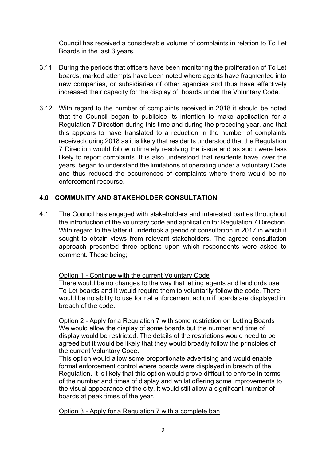Council has received a considerable volume of complaints in relation to To Let Boards in the last 3 years.

- 3.11 During the periods that officers have been monitoring the proliferation of To Let boards, marked attempts have been noted where agents have fragmented into new companies, or subsidiaries of other agencies and thus have effectively increased their capacity for the display of boards under the Voluntary Code.
- 3.12 With regard to the number of complaints received in 2018 it should be noted that the Council began to publicise its intention to make application for a Regulation 7 Direction during this time and during the preceding year, and that this appears to have translated to a reduction in the number of complaints received during 2018 as it is likely that residents understood that the Regulation 7 Direction would follow ultimately resolving the issue and as such were less likely to report complaints. It is also understood that residents have, over the years, began to understand the limitations of operating under a Voluntary Code and thus reduced the occurrences of complaints where there would be no enforcement recourse.

# <span id="page-8-0"></span>**4.0 COMMUNITY AND STAKEHOLDER CONSULTATION**

4.1 The Council has engaged with stakeholders and interested parties throughout the introduction of the voluntary code and application for Regulation 7 Direction. With regard to the latter it undertook a period of consultation in 2017 in which it sought to obtain views from relevant stakeholders. The agreed consultation approach presented three options upon which respondents were asked to comment. These being;

### Option 1 - Continue with the current Voluntary Code

There would be no changes to the way that letting agents and landlords use To Let boards and it would require them to voluntarily follow the code. There would be no ability to use formal enforcement action if boards are displayed in breach of the code.

Option 2 - Apply for a Regulation 7 with some restriction on Letting Boards We would allow the display of some boards but the number and time of display would be restricted. The details of the restrictions would need to be agreed but it would be likely that they would broadly follow the principles of the current Voluntary Code.

This option would allow some proportionate advertising and would enable formal enforcement control where boards were displayed in breach of the Regulation. It is likely that this option would prove difficult to enforce in terms of the number and times of display and whilst offering some improvements to the visual appearance of the city, it would still allow a significant number of boards at peak times of the year.

Option 3 - Apply for a Regulation 7 with a complete ban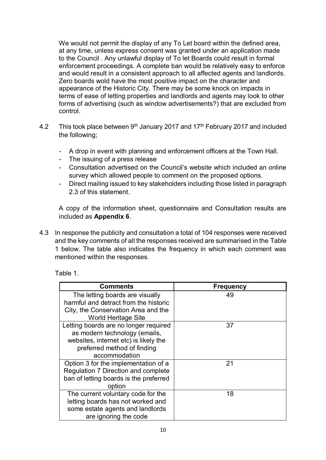We would not permit the display of any To Let board within the defined area, at any time, unless express consent was granted under an application made to the Council . Any unlawful display of To let Boards could result in formal enforcement proceedings. A complete ban would be relatively easy to enforce and would result in a consistent approach to all affected agents and landlords. Zero boards wold have the most positive impact on the character and appearance of the Historic City. There may be some knock on impacts in terms of ease of letting properties and landlords and agents may look to other forms of advertising (such as window advertisements?) that are excluded from control.

- 4.2 This took place between  $9<sup>th</sup>$  January 2017 and 17<sup>th</sup> February 2017 and included the following;
	- A drop in event with planning and enforcement officers at the Town Hall.
	- The issuing of a press release
	- Consultation advertised on the Council's website which included an online survey which allowed people to comment on the proposed options.
	- Direct mailing issued to key stakeholders including those listed in paragraph 2.3 of this statement.

A copy of the information sheet, questionnaire and Consultation results are included as **Appendix 6**.

4.3 In response the publicity and consultation a total of 104 responses were received and the key comments of all the responses received are summarised in the Table 1 below. The table also indicates the frequency in which each comment was mentioned within the responses.

Table 1.

| <b>Comments</b>                        | <b>Frequency</b> |
|----------------------------------------|------------------|
| The letting boards are visually        | 49               |
| harmful and detract from the historic  |                  |
| City, the Conservation Area and the    |                  |
| <b>World Heritage Site</b>             |                  |
| Letting boards are no longer required  | 37               |
| as modern technology (emails,          |                  |
| websites, internet etc) is likely the  |                  |
| preferred method of finding            |                  |
| accommodation                          |                  |
| Option 3 for the implementation of a   | 21               |
| Regulation 7 Direction and complete    |                  |
| ban of letting boards is the preferred |                  |
| option                                 |                  |
| The current voluntary code for the     | 18               |
| letting boards has not worked and      |                  |
| some estate agents and landlords       |                  |
| are ignoring the code                  |                  |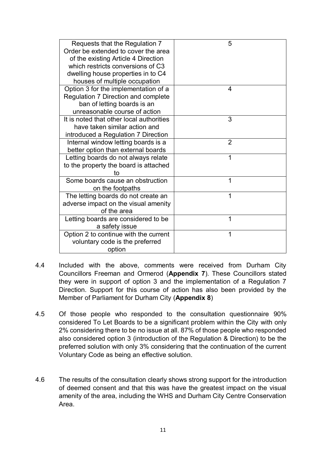| Requests that the Regulation 7<br>Order be extended to cover the area | 5              |
|-----------------------------------------------------------------------|----------------|
| of the existing Article 4 Direction                                   |                |
| which restricts conversions of C3                                     |                |
| dwelling house properties in to C4                                    |                |
| houses of multiple occupation                                         |                |
| Option 3 for the implementation of a                                  | 4              |
| Regulation 7 Direction and complete                                   |                |
| ban of letting boards is an                                           |                |
| unreasonable course of action                                         |                |
| It is noted that other local authorities                              | 3              |
| have taken similar action and                                         |                |
| introduced a Regulation 7 Direction                                   |                |
| Internal window letting boards is a                                   | $\overline{2}$ |
| better option than external boards                                    |                |
| Letting boards do not always relate                                   | 1              |
| to the property the board is attached                                 |                |
| to                                                                    |                |
| Some boards cause an obstruction                                      | 1              |
| on the footpaths                                                      |                |
| The letting boards do not create an                                   | 1              |
| adverse impact on the visual amenity                                  |                |
| of the area                                                           |                |
| Letting boards are considered to be                                   | 1              |
| a safety issue                                                        |                |
| Option 2 to continue with the current                                 | 1              |
| voluntary code is the preferred                                       |                |
| option                                                                |                |
|                                                                       |                |

- 4.4 Included with the above, comments were received from Durham City Councillors Freeman and Ormerod (**Appendix 7**). These Councillors stated they were in support of option 3 and the implementation of a Regulation 7 Direction. Support for this course of action has also been provided by the Member of Parliament for Durham City (**Appendix 8**)
- 4.5 Of those people who responded to the consultation questionnaire 90% considered To Let Boards to be a significant problem within the City with only 2% considering there to be no issue at all. 87% of those people who responded also considered option 3 (introduction of the Regulation & Direction) to be the preferred solution with only 3% considering that the continuation of the current Voluntary Code as being an effective solution.
- 4.6 The results of the consultation clearly shows strong support for the introduction of deemed consent and that this was have the greatest impact on the visual amenity of the area, including the WHS and Durham City Centre Conservation Area.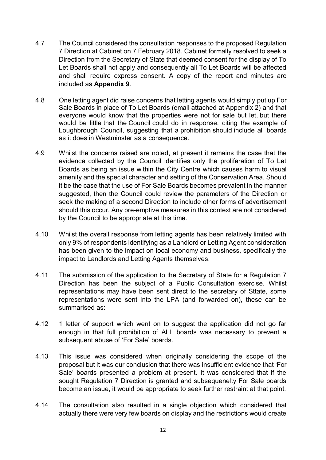- 4.7 The Council considered the consultation responses to the proposed Regulation 7 Direction at Cabinet on 7 February 2018. Cabinet formally resolved to seek a Direction from the Secretary of State that deemed consent for the display of To Let Boards shall not apply and consequently all To Let Boards will be affected and shall require express consent. A copy of the report and minutes are included as **Appendix 9**.
- 4.8 One letting agent did raise concerns that letting agents would simply put up For Sale Boards in place of To Let Boards (email attached at Appendix 2) and that everyone would know that the properties were not for sale but let, but there would be little that the Council could do in response, citing the example of Loughbrough Council, suggesting that a prohibition should include all boards as it does in Westminster as a consequence.
- 4.9 Whilst the concerns raised are noted, at present it remains the case that the evidence collected by the Council identifies only the proliferation of To Let Boards as being an issue within the City Centre which causes harm to visual amenity and the special character and setting of the Conservation Area. Should it be the case that the use of For Sale Boards becomes prevalent in the manner suggested, then the Council could review the parameters of the Direction or seek the making of a second Direction to include other forms of advertisement should this occur. Any pre-emptive measures in this context are not considered by the Council to be appropriate at this time.
- 4.10 Whilst the overall response from letting agents has been relatively limited with only 9% of respondents identifying as a Landlord or Letting Agent consideration has been given to the impact on local economy and business, specifically the impact to Landlords and Letting Agents themselves.
- 4.11 The submission of the application to the Secretary of State for a Regulation 7 Direction has been the subject of a Public Consultation exercise. Whilst representations may have been sent direct to the secretary of Sttate, some representations were sent into the LPA (and forwarded on), these can be summarised as:
- 4.12 1 letter of support which went on to suggest the application did not go far enough in that full prohibition of ALL boards was necessary to prevent a subsequent abuse of 'For Sale' boards.
- 4.13 This issue was considered when originally considering the scope of the proposal but it was our conclusion that there was insufficient evidence that 'For Sale' boards presented a problem at present. It was considered that if the sought Regulation 7 Direction is granted and subsequenelty For Sale boards become an issue, it would be appropriate to seek further restraint at that point.
- 4.14 The consultation also resulted in a single objection which considered that actually there were very few boards on display and the restrictions would create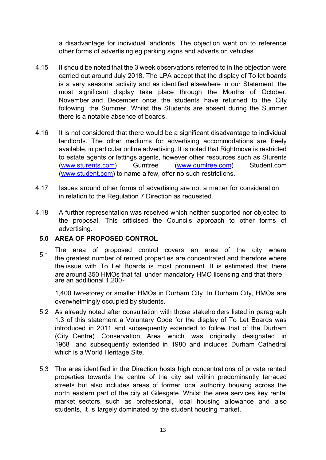a disadvantage for individual landlords. The objection went on to reference other forms of advertising eg parking signs and adverts on vehicles.

- 4.15 It should be noted that the 3 week observations referred to in the objection were carried out around July 2018. The LPA accept that the display of To let boards is a very seasonal activity and as identified elsewhere in our Statement, the most significant display take place through the Months of October, November and December once the students have returned to the City following the Summer. Whilst the Students are absent during the Summer there is a notable absence of boards.
- 4.16 It is not considered that there would be a significant disadvantage to individual landlords. The other mediums for advertising accommodations are freely available, in particular online advertising. It is noted that Rightmove is restricted to estate agents or lettings agents, however other resources such as Sturents [\(www.sturents.com\)](http://www.sturents.com/) Gumtree [\(www.gumtree.com\)](http://www.gumtree.com/) [Student.com](http://Student.com) [\(www.student.com\)](http://www.student.com/) to name a few, offer no such restrictions.
- 4.17 Issues around other forms of advertising are not a matter for consideration in relation to the Regulation 7 Direction as requested.
- 4.18 A further representation was received which neither supported nor objected to the proposal. This criticised the Councils approach to other forms of advertising.

### <span id="page-12-0"></span>**5.0 AREA OF PROPOSED CONTROL**

The area of proposed control covers an area of the city where the greatest number of rented properties are concentrated and therefore where the issue with To Let Boards is most prominent. It is estimated that there are around 350 HMOs that fall under mandatory HMO licensing and that there are an additional 1,200-

1,400 two-storey or smaller HMOs in Durham City. In Durham City, HMOs are overwhelmingly occupied by students.

- 5.2 As already noted after consultation with those stakeholders listed in paragraph 1.3 of this statement a Voluntary Code for the display of To Let Boards was introduced in 2011 and subsequently extended to follow that of the Durham (City Centre) Conservation Area which was originally designated in 1968 and subsequently extended in 1980 and includes Durham Cathedral which is a World Heritage Site.
- 5.3 The area identified in the Direction hosts high concentrations of private rented properties towards the centre of the city set within predominantly terraced streets but also includes areas of former local authority housing across the north eastern part of the city at Gilesgate. Whilst the area services key rental market sectors, such as professional, local housing allowance and also students, it is largely dominated by the student housing market.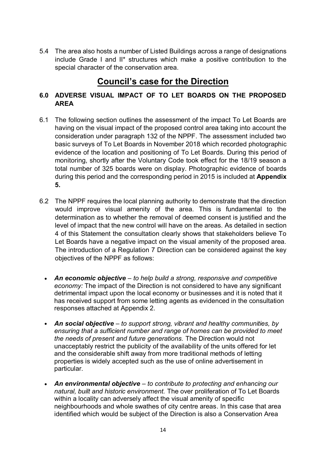5.4 The area also hosts a number of Listed Buildings across a range of designations include Grade I and II\* structures which make a positive contribution to the special character of the conservation area.

# **Council's case for the Direction**

# <span id="page-13-0"></span>**6.0 ADVERSE VISUAL IMPACT OF TO LET BOARDS ON THE PROPOSED AREA**

- 6.1 The following section outlines the assessment of the impact To Let Boards are having on the visual impact of the proposed control area taking into account the consideration under paragraph 132 of the NPPF. The assessment included two basic surveys of To Let Boards in November 2018 which recorded photographic evidence of the location and positioning of To Let Boards. During this period of monitoring, shortly after the Voluntary Code took effect for the 18/19 season a total number of 325 boards were on display. Photographic evidence of boards during this period and the corresponding period in 2015 is included at **Appendix 5.**
- 6.2 The NPPF requires the local planning authority to demonstrate that the direction would improve visual amenity of the area. This is fundamental to the determination as to whether the removal of deemed consent is justified and the level of impact that the new control will have on the areas. As detailed in section 4 of this Statement the consultation clearly shows that stakeholders believe To Let Boards have a negative impact on the visual amenity of the proposed area. The introduction of a Regulation 7 Direction can be considered against the key objectives of the NPPF as follows:
	- *An economic objective – to help build a strong, responsive and competitive economy:* The impact of the Direction is not considered to have any significant detrimental impact upon the local economy or businesses and it is noted that it has received support from some letting agents as evidenced in the consultation responses attached at Appendix 2.
	- *An social objective – to support strong, vibrant and healthy communities, by ensuring that a sufficient number and range of homes can be provided to meet the needs of present and future generations.* The Direction would not unacceptably restrict the publicity of the availability of the units offered for let and the considerable shift away from more traditional methods of letting properties is widely accepted such as the use of online advertisement in particular.
	- *An environmental objective – to contribute to protecting and enhancing our natural, built and historic environment.* The over proliferation of To Let Boards within a locality can adversely affect the visual amenity of specific neighbourhoods and whole swathes of city centre areas. In this case that area identified which would be subject of the Direction is also a Conservation Area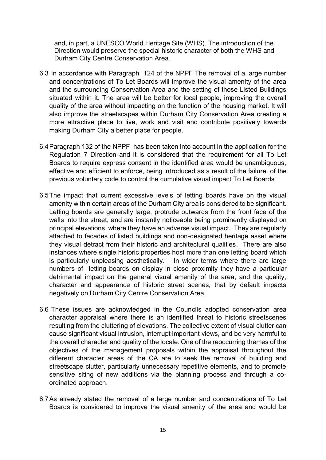and, in part, a UNESCO World Heritage Site (WHS). The introduction of the Direction would preserve the special historic character of both the WHS and Durham City Centre Conservation Area.

- 6.3 In accordance with Paragraph 124 of the NPPF The removal of a large number and concentrations of To Let Boards will improve the visual amenity of the area and the surrounding Conservation Area and the setting of those Listed Buildings situated within it. The area will be better for local people, improving the overall quality of the area without impacting on the function of the housing market. It will also improve the streetscapes within Durham City Conservation Area creating a more attractive place to live, work and visit and contribute positively towards making Durham City a better place for people.
- 6.4Paragraph 132 of the NPPF has been taken into account in the application for the Regulation 7 Direction and it is considered that the requirement for all To Let Boards to require express consent in the identified area would be unambiguous, effective and efficient to enforce, being introduced as a result of the failure of the previous voluntary code to control the cumulative visual impact To Let Boards
- 6.5The impact that current excessive levels of letting boards have on the visual amenity within certain areas of the Durham City area is considered to be significant. Letting boards are generally large, protrude outwards from the front face of the walls into the street, and are instantly noticeable being prominently displayed on principal elevations, where they have an adverse visual impact. They are regularly attached to facades of listed buildings and non-designated heritage asset where they visual detract from their historic and architectural qualities. There are also instances where single historic properties host more than one letting board which is particularly unpleasing aesthetically. In wider terms where there are large numbers of letting boards on display in close proximity they have a particular detrimental impact on the general visual amenity of the area, and the quality, character and appearance of historic street scenes, that by default impacts negatively on Durham City Centre Conservation Area.
- 6.6 These issues are acknowledged in the Councils adopted conservation area character appraisal where there is an identified threat to historic streetscenes resulting from the cluttering of elevations. The collective extent of visual clutter can cause significant visual intrusion, interrupt important views, and be very harmful to the overall character and quality of the locale. One of the reoccurring themes of the objectives of the management proposals within the appraisal throughout the different character areas of the CA are to seek the removal of building and streetscape clutter, particularly unnecessary repetitive elements, and to promote sensitive siting of new additions via the planning process and through a coordinated approach.
- 6.7As already stated the removal of a large number and concentrations of To Let Boards is considered to improve the visual amenity of the area and would be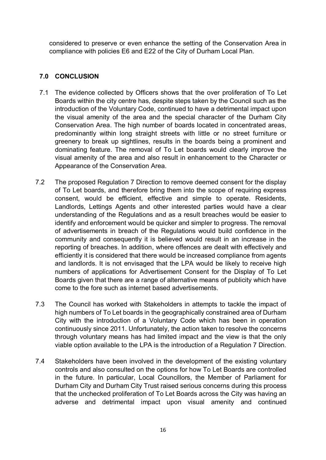considered to preserve or even enhance the setting of the Conservation Area in compliance with policies E6 and E22 of the City of Durham Local Plan.

# <span id="page-15-0"></span>**7.0 CONCLUSION**

- 7.1 The evidence collected by Officers shows that the over proliferation of To Let Boards within the city centre has, despite steps taken by the Council such as the introduction of the Voluntary Code, continued to have a detrimental impact upon the visual amenity of the area and the special character of the Durham City Conservation Area. The high number of boards located in concentrated areas, predominantly within long straight streets with little or no street furniture or greenery to break up sightlines, results in the boards being a prominent and dominating feature. The removal of To Let boards would clearly improve the visual amenity of the area and also result in enhancement to the Character or Appearance of the Conservation Area.
- 7.2 The proposed Regulation 7 Direction to remove deemed consent for the display of To Let boards, and therefore bring them into the scope of requiring express consent, would be efficient, effective and simple to operate. Residents, Landlords, Lettings Agents and other interested parties would have a clear understanding of the Regulations and as a result breaches would be easier to identify and enforcement would be quicker and simpler to progress. The removal of advertisements in breach of the Regulations would build confidence in the community and consequently it is believed would result in an increase in the reporting of breaches. In addition, where offences are dealt with effectively and efficiently it is considered that there would be increased compliance from agents and landlords. It is not envisaged that the LPA would be likely to receive high numbers of applications for Advertisement Consent for the Display of To Let Boards given that there are a range of alternative means of publicity which have come to the fore such as internet based advertisements.
- 7.3 The Council has worked with Stakeholders in attempts to tackle the impact of high numbers of To Let boards in the geographically constrained area of Durham City with the introduction of a Voluntary Code which has been in operation continuously since 2011. Unfortunately, the action taken to resolve the concerns through voluntary means has had limited impact and the view is that the only viable option available to the LPA is the introduction of a Regulation 7 Direction.
- 7.4 Stakeholders have been involved in the development of the existing voluntary controls and also consulted on the options for how To Let Boards are controlled in the future. In particular, Local Councillors, the Member of Parliament for Durham City and Durham City Trust raised serious concerns during this process that the unchecked proliferation of To Let Boards across the City was having an adverse and detrimental impact upon visual amenity and continued